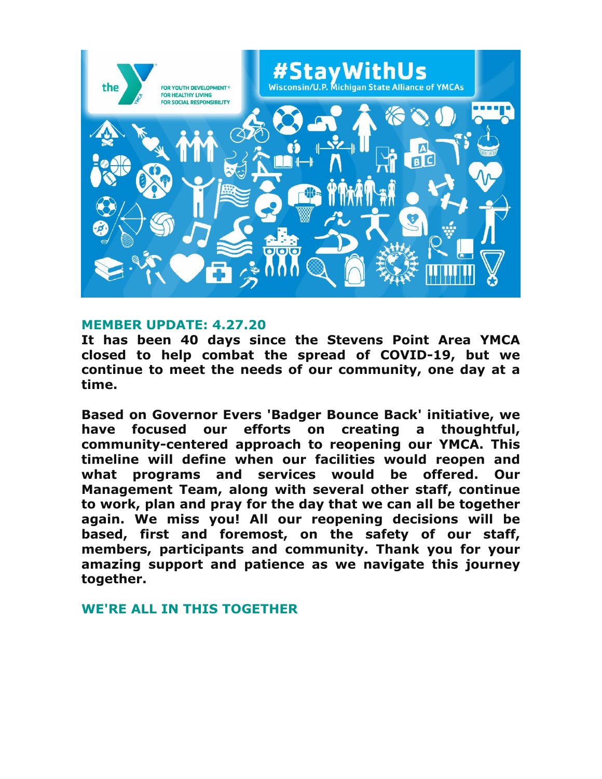

#### **MEMBER UPDATE: 4.27.20**

**It has been 40 days since the Stevens Point Area YMCA closed to help combat the spread of COVID-19, but we continue to meet the needs of our community, one day at a time.** 

**Based on Governor Evers 'Badger Bounce Back' initiative, we have focused our efforts on creating a thoughtful, community-centered approach to reopening our YMCA. This timeline will define when our facilities would reopen and what programs and services would be offered. Our Management Team, along with several other staff, continue to work, plan and pray for the day that we can all be together again. We miss you! All our reopening decisions will be based, first and foremost, on the safety of our staff, members, participants and community. Thank you for your amazing support and patience as we navigate this journey together.**

#### **WE'RE ALL IN THIS TOGETHER**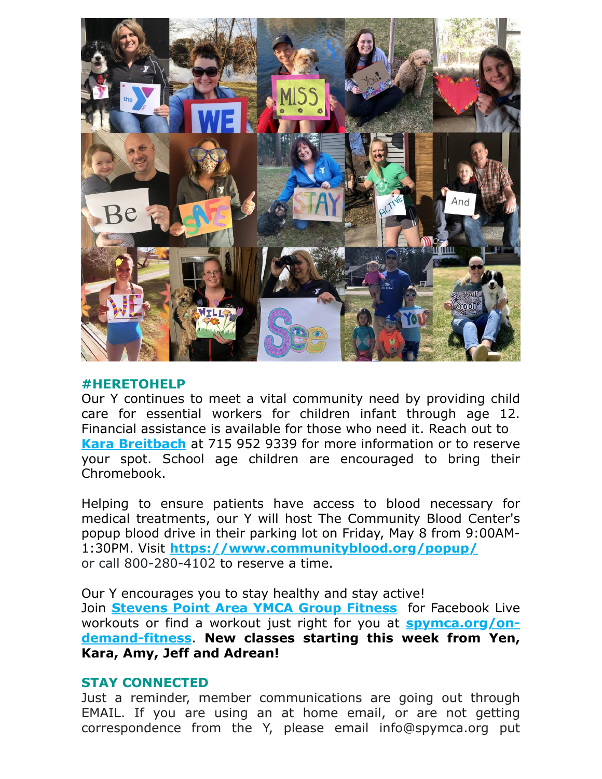

#### **#HERETOHELP**

Our Y continues to meet a vital community need by providing child care for essential workers for children infant through age 12. Financial assistance is available for those who need it. Reach out to **[Kara Breitbach](mailto:kbreitbach@spymca.org)** at 715 952 9339 for more information or to reserve your spot. School age children are encouraged to bring their Chromebook.

Helping to ensure patients have access to blood necessary for medical treatments, our Y will host The Community Blood Center's popup blood drive in their parking lot on Friday, May 8 from 9:00AM-1:30PM. Visit **<https://www.communityblood.org/popup/>** or call 800-280-4102 to reserve a time.

Our Y encourages you to stay healthy and stay active! Join **[Stevens Point Area YMCA Group Fitness](https://www.facebook.com/groups/1477830565598787/)** for Facebook Live [workouts or find a workout just right for you at](http://www.spymca.org/on-demand-fitness) **spymca.org/ondemand-fitness**. **New classes starting this week from Yen, Kara, Amy, Jeff and Adrean!**

## **STAY CONNECTED**

Just a reminder, member communications are going out through EMAIL. If you are using an at home email, or are not getting correspondence from the Y, please email info@spymca.org put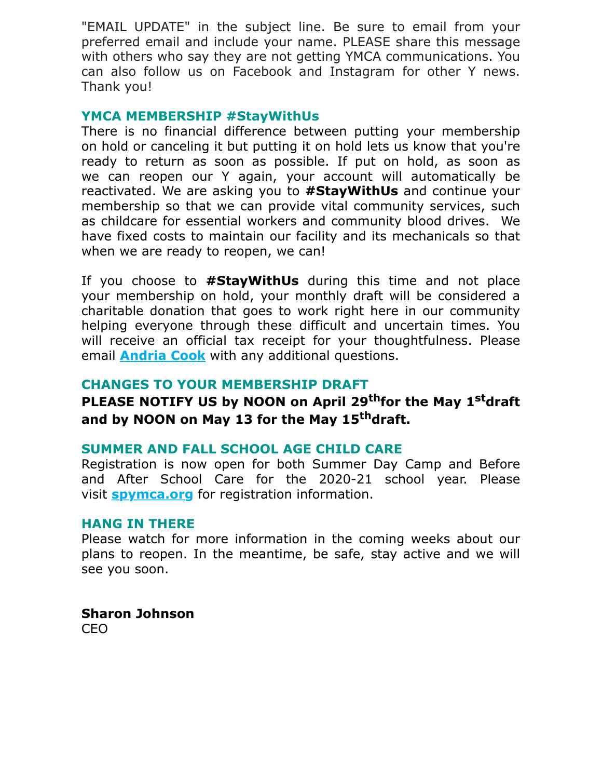"EMAIL UPDATE" in the subject line. Be sure to email from your preferred email and include your name. PLEASE share this message with others who say they are not getting YMCA communications. You can also follow us on Facebook and Instagram for other Y news. Thank you!

### **YMCA MEMBERSHIP #StayWithUs**

There is no financial difference between putting your membership on hold or canceling it but putting it on hold lets us know that you're ready to return as soon as possible. If put on hold, as soon as we can reopen our Y again, your account will automatically be reactivated. We are asking you to **#StayWithUs** and continue your membership so that we can provide vital community services, such as childcare for essential workers and community blood drives. We have fixed costs to maintain our facility and its mechanicals so that when we are ready to reopen, we can!

If you choose to **#StayWithUs** during this time and not place your membership on hold, your monthly draft will be considered a charitable donation that goes to work right here in our community helping everyone through these difficult and uncertain times. You will receive an official tax receipt for your thoughtfulness. Please email **[Andria Cook](mailto:acook@spymca.org)** with any additional questions.

## **CHANGES TO YOUR MEMBERSHIP DRAFT**

# **PLEASE NOTIFY US by NOON on April 29thfor the May 1stdraft and by NOON on May 13 for the May 15thdraft.**

## **SUMMER AND FALL SCHOOL AGE CHILD CARE**

Registration is now open for both Summer Day Camp and Before and After School Care for the 2020-21 school year. Please visit **[spymca.org](https://www.spymca.org/before-and-after-school-care/)** for registration information.

#### **HANG IN THERE**

Please watch for more information in the coming weeks about our plans to reopen. In the meantime, be safe, stay active and we will see you soon.

**Sharon Johnson** CEO